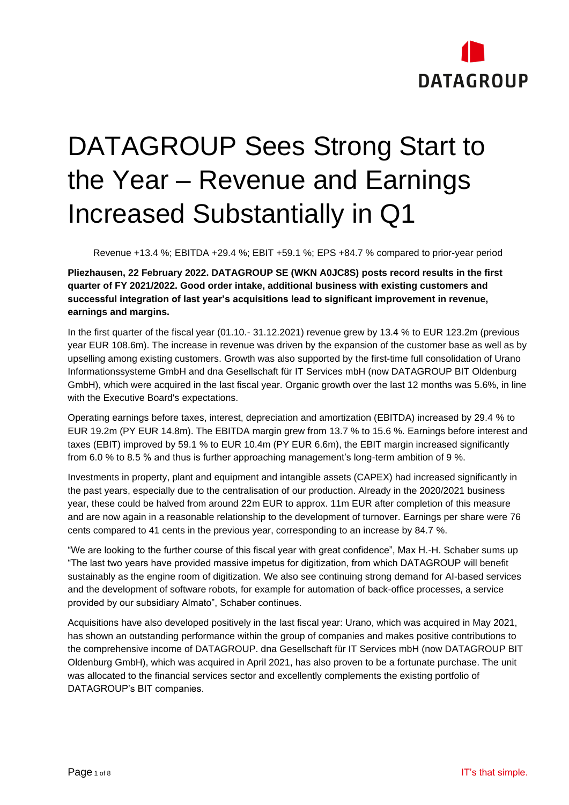

# DATAGROUP Sees Strong Start to the Year – Revenue and Earnings Increased Substantially in Q1

Revenue +13.4 %; EBITDA +29.4 %; EBIT +59.1 %; EPS +84.7 % compared to prior-year period

**Pliezhausen, 22 February 2022. DATAGROUP SE (WKN A0JC8S) posts record results in the first quarter of FY 2021/2022. Good order intake, additional business with existing customers and successful integration of last year's acquisitions lead to significant improvement in revenue, earnings and margins.**

In the first quarter of the fiscal year (01.10.- 31.12.2021) revenue grew by 13.4 % to EUR 123.2m (previous year EUR 108.6m). The increase in revenue was driven by the expansion of the customer base as well as by upselling among existing customers. Growth was also supported by the first-time full consolidation of Urano Informationssysteme GmbH and dna Gesellschaft für IT Services mbH (now DATAGROUP BIT Oldenburg GmbH), which were acquired in the last fiscal year. Organic growth over the last 12 months was 5.6%, in line with the Executive Board's expectations.

Operating earnings before taxes, interest, depreciation and amortization (EBITDA) increased by 29.4 % to EUR 19.2m (PY EUR 14.8m). The EBITDA margin grew from 13.7 % to 15.6 %. Earnings before interest and taxes (EBIT) improved by 59.1 % to EUR 10.4m (PY EUR 6.6m), the EBIT margin increased significantly from 6.0 % to 8.5 % and thus is further approaching management's long-term ambition of 9 %.

Investments in property, plant and equipment and intangible assets (CAPEX) had increased significantly in the past years, especially due to the centralisation of our production. Already in the 2020/2021 business year, these could be halved from around 22m EUR to approx. 11m EUR after completion of this measure and are now again in a reasonable relationship to the development of turnover. Earnings per share were 76 cents compared to 41 cents in the previous year, corresponding to an increase by 84.7 %.

"We are looking to the further course of this fiscal year with great confidence", Max H.-H. Schaber sums up "The last two years have provided massive impetus for digitization, from which DATAGROUP will benefit sustainably as the engine room of digitization. We also see continuing strong demand for AI-based services and the development of software robots, for example for automation of back-office processes, a service provided by our subsidiary Almato", Schaber continues.

Acquisitions have also developed positively in the last fiscal year: Urano, which was acquired in May 2021, has shown an outstanding performance within the group of companies and makes positive contributions to the comprehensive income of DATAGROUP. dna Gesellschaft für IT Services mbH (now DATAGROUP BIT Oldenburg GmbH), which was acquired in April 2021, has also proven to be a fortunate purchase. The unit was allocated to the financial services sector and excellently complements the existing portfolio of DATAGROUP's BIT companies.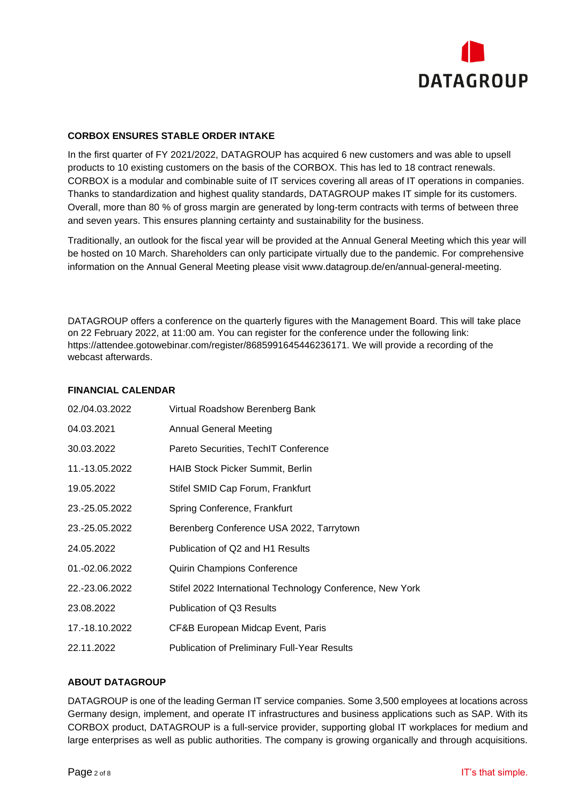

### **CORBOX ENSURES STABLE ORDER INTAKE**

In the first quarter of FY 2021/2022, DATAGROUP has acquired 6 new customers and was able to upsell products to 10 existing customers on the basis of the CORBOX. This has led to 18 contract renewals. CORBOX is a modular and combinable suite of IT services covering all areas of IT operations in companies. Thanks to standardization and highest quality standards, DATAGROUP makes IT simple for its customers. Overall, more than 80 % of gross margin are generated by long-term contracts with terms of between three and seven years. This ensures planning certainty and sustainability for the business.

Traditionally, an outlook for the fiscal year will be provided at the Annual General Meeting which this year will be hosted on 10 March. Shareholders can only participate virtually due to the pandemic. For comprehensive information on the Annual General Meeting please visit www.datagroup.de/en/annual-general-meeting.

DATAGROUP offers a conference on the quarterly figures with the Management Board. This will take place on 22 February 2022, at 11:00 am. You can register for the conference under the following link: https://attendee.gotowebinar.com/register/8685991645446236171. We will provide a recording of the webcast afterwards.

#### **FINANCIAL CALENDAR**

| 02./04.03.2022 | Virtual Roadshow Berenberg Bank                           |
|----------------|-----------------------------------------------------------|
| 04.03.2021     | <b>Annual General Meeting</b>                             |
| 30.03.2022     | Pareto Securities, TechIT Conference                      |
| 11.-13.05.2022 | <b>HAIB Stock Picker Summit, Berlin</b>                   |
| 19.05.2022     | Stifel SMID Cap Forum, Frankfurt                          |
| 23.-25.05.2022 | Spring Conference, Frankfurt                              |
| 23.-25.05.2022 | Berenberg Conference USA 2022, Tarrytown                  |
| 24.05.2022     | Publication of Q2 and H1 Results                          |
| 01.-02.06.2022 | <b>Quirin Champions Conference</b>                        |
| 22.-23.06.2022 | Stifel 2022 International Technology Conference, New York |
| 23.08.2022     | <b>Publication of Q3 Results</b>                          |
| 17.-18.10.2022 | CF&B European Midcap Event, Paris                         |
| 22.11.2022     | <b>Publication of Preliminary Full-Year Results</b>       |

### **ABOUT DATAGROUP**

DATAGROUP is one of the leading German IT service companies. Some 3,500 employees at locations across Germany design, implement, and operate IT infrastructures and business applications such as SAP. With its CORBOX product, DATAGROUP is a full-service provider, supporting global IT workplaces for medium and large enterprises as well as public authorities. The company is growing organically and through acquisitions.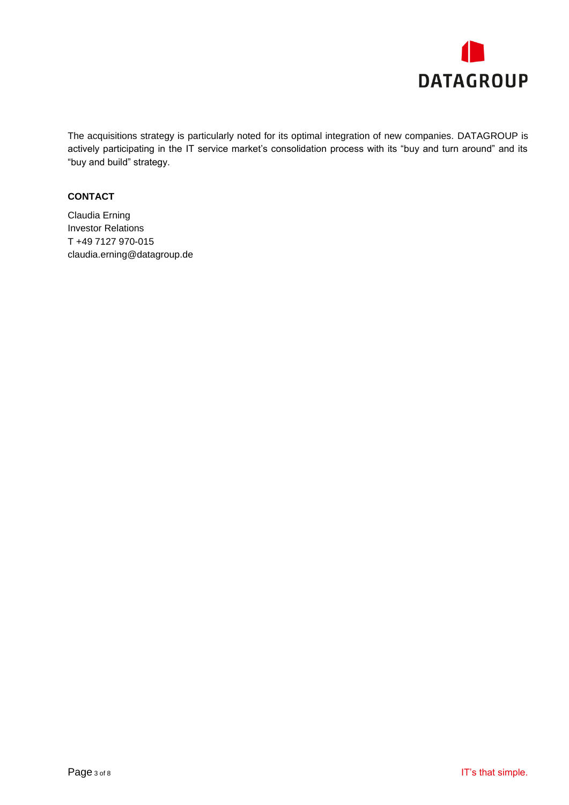

The acquisitions strategy is particularly noted for its optimal integration of new companies. DATAGROUP is actively participating in the IT service market's consolidation process with its "buy and turn around" and its "buy and build" strategy.

### **CONTACT**

Claudia Erning Investor Relations T +49 7127 970-015 [claudia.erning@datagroup.de](mailto:claudia.erning@datagroup.de)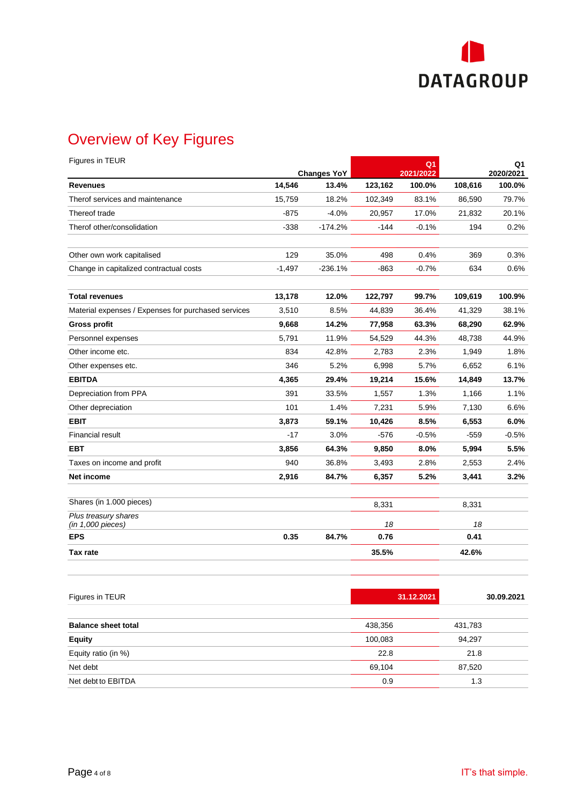

# Overview of Key Figures

| Figures in TEUR                                     |          |                             |         | Q1                  |         | Q1                  |
|-----------------------------------------------------|----------|-----------------------------|---------|---------------------|---------|---------------------|
| <b>Revenues</b>                                     | 14,546   | <b>Changes YoY</b><br>13.4% | 123,162 | 2021/2022<br>100.0% | 108,616 | 2020/2021<br>100.0% |
| Therof services and maintenance                     | 15,759   | 18.2%                       | 102,349 | 83.1%               | 86,590  | 79.7%               |
| Thereof trade                                       | $-875$   | $-4.0%$                     | 20,957  | 17.0%               | 21,832  | 20.1%               |
| Therof other/consolidation                          | $-338$   | $-174.2%$                   | $-144$  | $-0.1%$             | 194     | 0.2%                |
| Other own work capitalised                          | 129      | 35.0%                       | 498     | 0.4%                | 369     | 0.3%                |
| Change in capitalized contractual costs             | $-1,497$ | $-236.1%$                   | $-863$  | $-0.7%$             | 634     | 0.6%                |
| <b>Total revenues</b>                               | 13,178   | 12.0%                       | 122,797 | 99.7%               | 109,619 | 100.9%              |
| Material expenses / Expenses for purchased services | 3,510    | 8.5%                        | 44,839  | 36.4%               | 41,329  | 38.1%               |
| <b>Gross profit</b>                                 | 9,668    | 14.2%                       | 77,958  | 63.3%               | 68,290  | 62.9%               |
| Personnel expenses                                  | 5.791    | 11.9%                       | 54,529  | 44.3%               | 48,738  | 44.9%               |
| Other income etc.                                   | 834      | 42.8%                       | 2,783   | 2.3%                | 1,949   | 1.8%                |
| Other expenses etc.                                 | 346      | 5.2%                        | 6,998   | 5.7%                | 6,652   | 6.1%                |
| <b>EBITDA</b>                                       | 4,365    | 29.4%                       | 19,214  | 15.6%               | 14,849  | 13.7%               |
| Depreciation from PPA                               | 391      | 33.5%                       | 1,557   | 1.3%                | 1,166   | 1.1%                |
| Other depreciation                                  | 101      | 1.4%                        | 7,231   | 5.9%                | 7,130   | 6.6%                |
| <b>EBIT</b>                                         | 3,873    | 59.1%                       | 10,426  | 8.5%                | 6,553   | 6.0%                |
| <b>Financial result</b>                             | $-17$    | 3.0%                        | $-576$  | $-0.5%$             | $-559$  | $-0.5%$             |
| <b>EBT</b>                                          | 3,856    | 64.3%                       | 9,850   | 8.0%                | 5,994   | 5.5%                |
| Taxes on income and profit                          | 940      | 36.8%                       | 3,493   | 2.8%                | 2,553   | 2.4%                |
| Net income                                          | 2,916    | 84.7%                       | 6,357   | 5.2%                | 3,441   | 3.2%                |
| Shares (in 1.000 pieces)                            |          |                             | 8,331   |                     | 8,331   |                     |
| Plus treasury shares<br>(in 1,000 pieces)           |          |                             | 18      |                     | 18      |                     |
| <b>EPS</b>                                          | 0.35     | 84.7%                       | 0.76    |                     | 0.41    |                     |
| Tax rate                                            |          |                             | 35.5%   |                     | 42.6%   |                     |

| Figures in TEUR            |         | 31.12.2021       | 30.09.2021 |
|----------------------------|---------|------------------|------------|
| <b>Balance sheet total</b> | 438,356 | 431,783          |            |
| <b>Equity</b>              | 100,083 | 94,297           |            |
| Equity ratio (in %)        |         | 22.8<br>21.8     |            |
| Net debt                   |         | 69,104<br>87,520 |            |
| Net debt to EBITDA         |         | 0.9<br>1.3       |            |
|                            |         |                  |            |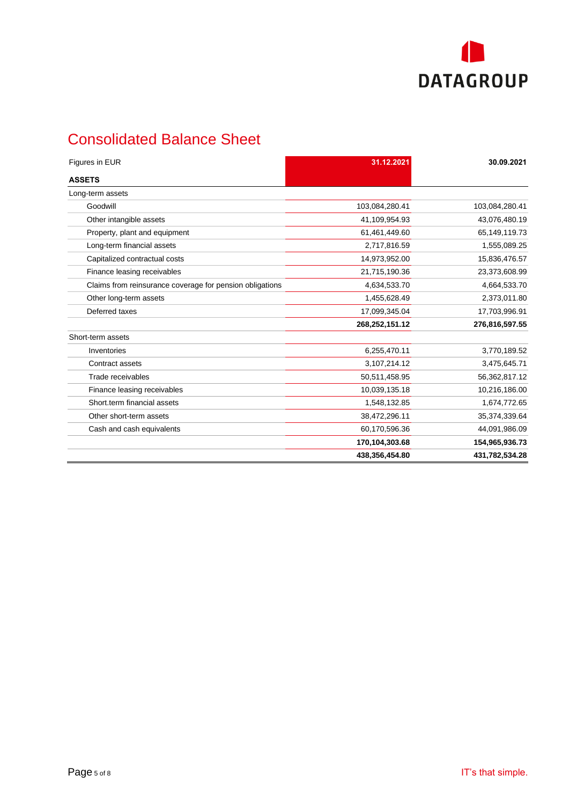

# Consolidated Balance Sheet

| Figures in EUR                                           | 31.12.2021     | 30.09.2021     |
|----------------------------------------------------------|----------------|----------------|
| <b>ASSETS</b>                                            |                |                |
| Long-term assets                                         |                |                |
| Goodwill                                                 | 103,084,280.41 | 103,084,280.41 |
| Other intangible assets                                  | 41,109,954.93  | 43,076,480.19  |
| Property, plant and equipment                            | 61,461,449.60  | 65,149,119.73  |
| Long-term financial assets                               | 2,717,816.59   | 1,555,089.25   |
| Capitalized contractual costs                            | 14,973,952.00  | 15,836,476.57  |
| Finance leasing receivables                              | 21,715,190.36  | 23,373,608.99  |
| Claims from reinsurance coverage for pension obligations | 4,634,533.70   | 4,664,533.70   |
| Other long-term assets                                   | 1,455,628.49   | 2,373,011.80   |
| Deferred taxes                                           | 17,099,345.04  | 17,703,996.91  |
|                                                          | 268,252,151.12 | 276,816,597.55 |
| Short-term assets                                        |                |                |
| Inventories                                              | 6,255,470.11   | 3,770,189.52   |
| Contract assets                                          | 3,107,214.12   | 3,475,645.71   |
| Trade receivables                                        | 50,511,458.95  | 56,362,817.12  |
| Finance leasing receivables                              | 10,039,135.18  | 10,216,186.00  |
| Short.term financial assets                              | 1,548,132.85   | 1,674,772.65   |
| Other short-term assets                                  | 38,472,296.11  | 35,374,339.64  |
| Cash and cash equivalents                                | 60,170,596.36  | 44,091,986.09  |
|                                                          | 170,104,303.68 | 154,965,936.73 |
|                                                          | 438,356,454.80 | 431,782,534.28 |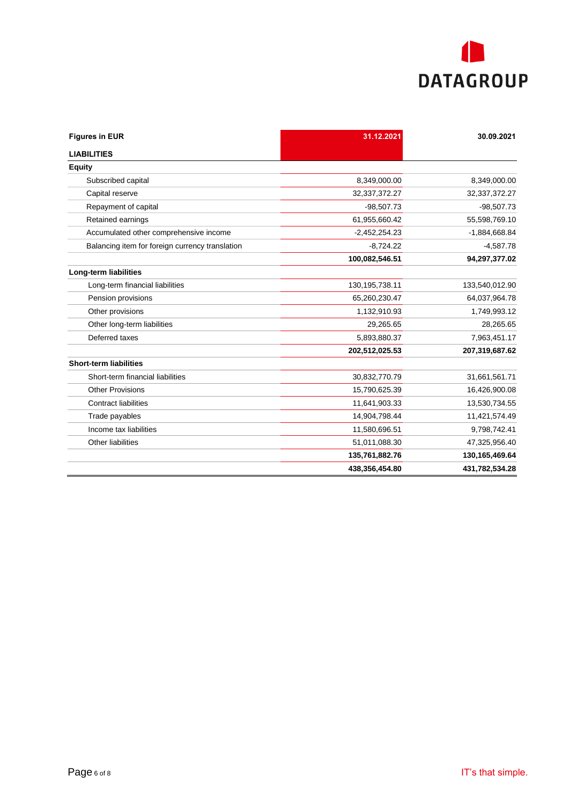

| <b>Figures in EUR</b>                           | 31.12.2021        | 30.09.2021      |
|-------------------------------------------------|-------------------|-----------------|
| <b>LIABILITIES</b>                              |                   |                 |
| <b>Equity</b>                                   |                   |                 |
| Subscribed capital                              | 8,349,000.00      | 8,349,000.00    |
| Capital reserve                                 | 32,337,372.27     | 32,337,372.27   |
| Repayment of capital                            | $-98,507.73$      | $-98,507.73$    |
| Retained earnings                               | 61,955,660.42     | 55,598,769.10   |
| Accumulated other comprehensive income          | $-2,452,254.23$   | $-1,884,668.84$ |
| Balancing item for foreign currency translation | $-8.724.22$       | $-4.587.78$     |
|                                                 | 100,082,546.51    | 94,297,377.02   |
| <b>Long-term liabilities</b>                    |                   |                 |
| Long-term financial liabilities                 | 130, 195, 738. 11 | 133,540,012.90  |
| Pension provisions                              | 65,260,230.47     | 64,037,964.78   |
| Other provisions                                | 1,132,910.93      | 1,749,993.12    |
| Other long-term liabilities                     | 29,265.65         | 28,265.65       |
| Deferred taxes                                  | 5,893,880.37      | 7,963,451.17    |
|                                                 | 202,512,025.53    | 207,319,687.62  |
| <b>Short-term liabilities</b>                   |                   |                 |
| Short-term financial liabilities                | 30,832,770.79     | 31,661,561.71   |
| <b>Other Provisions</b>                         | 15,790,625.39     | 16,426,900.08   |
| <b>Contract liabilities</b>                     | 11,641,903.33     | 13,530,734.55   |
| Trade payables                                  | 14,904,798.44     | 11,421,574.49   |
| Income tax liabilities                          | 11,580,696.51     | 9,798,742.41    |
| Other liabilities                               | 51,011,088.30     | 47,325,956.40   |
|                                                 | 135,761,882.76    | 130,165,469.64  |
|                                                 | 438,356,454.80    | 431,782,534.28  |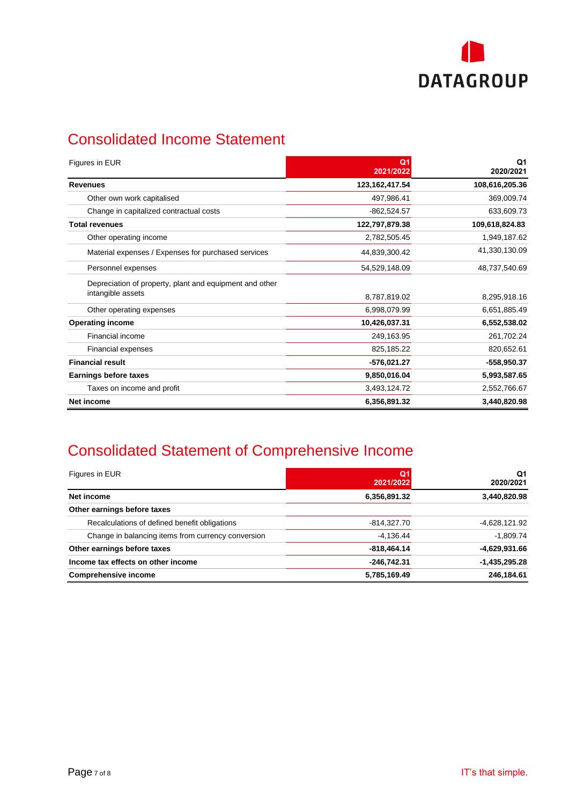

## Consolidated Income Statement

| Figures in EUR                                                               | Q <sub>1</sub><br>2021/2022 | Q1<br>2020/2021 |
|------------------------------------------------------------------------------|-----------------------------|-----------------|
| <b>Revenues</b>                                                              | 123,162,417.54              | 108,616,205.36  |
| Other own work capitalised                                                   | 497,986.41                  | 369,009.74      |
| Change in capitalized contractual costs                                      | $-862,524.57$               | 633,609.73      |
| <b>Total revenues</b>                                                        | 122,797,879.38              | 109,618,824.83  |
| Other operating income                                                       | 2,782,505.45                | 1,949,187.62    |
| Material expenses / Expenses for purchased services                          | 44,839,300.42               | 41,330,130.09   |
| Personnel expenses                                                           | 54,529,148.09               | 48,737,540.69   |
| Depreciation of property, plant and equipment and other<br>intangible assets | 8,787,819.02                | 8,295,918.16    |
| Other operating expenses                                                     | 6,998,079.99                | 6,651,885.49    |
| <b>Operating income</b>                                                      | 10,426,037.31               | 6,552,538.02    |
| Financial income                                                             | 249,163.95                  | 261,702.24      |
| <b>Financial expenses</b>                                                    | 825,185.22                  | 820,652.61      |
| <b>Financial result</b>                                                      | -576,021.27                 | -558,950.37     |
| Earnings before taxes                                                        | 9,850,016.04                | 5,993,587.65    |
| Taxes on income and profit                                                   | 3,493,124.72                | 2,552,766.67    |
| Net income                                                                   | 6,356,891.32                | 3,440,820.98    |

## Consolidated Statement of Comprehensive Income

| Figures in EUR                                     | Q <sub>1</sub><br>2021/2022 | Q1<br>2020/2021 |
|----------------------------------------------------|-----------------------------|-----------------|
| Net income                                         | 6,356,891.32                | 3,440,820.98    |
| Other earnings before taxes                        |                             |                 |
| Recalculations of defined benefit obligations      | $-814,327.70$               | -4,628,121.92   |
| Change in balancing items from currency conversion | $-4,136.44$                 | $-1,809.74$     |
| Other earnings before taxes                        | $-818,464.14$               | -4,629,931.66   |
| Income tax effects on other income                 | $-246,742.31$               | $-1,435,295.28$ |
| <b>Comprehensive income</b>                        | 5,785,169.49                | 246.184.61      |